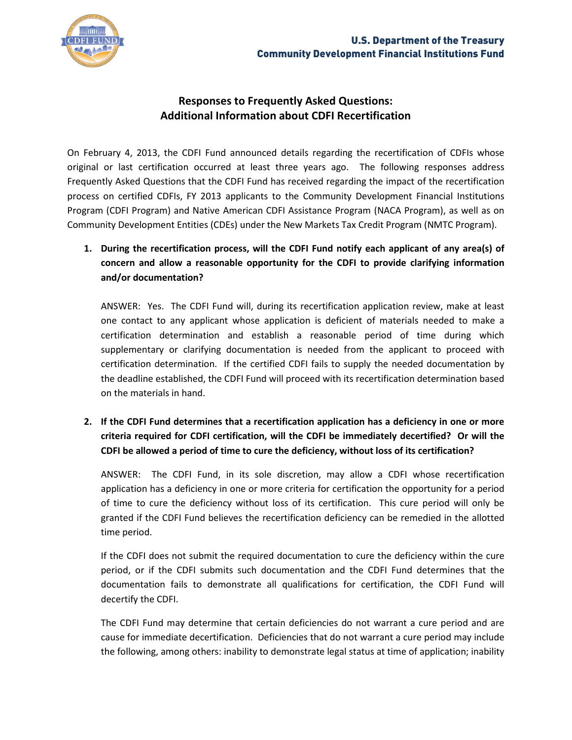

## **Responses to Frequently Asked Questions: Additional Information about CDFI Recertification**

On February 4, 2013, the CDFI Fund announced details regarding the recertification of CDFIs whose original or last certification occurred at least three years ago. The following responses address Frequently Asked Questions that the CDFI Fund has received regarding the impact of the recertification process on certified CDFIs, FY 2013 applicants to the Community Development Financial Institutions Program (CDFI Program) and Native American CDFI Assistance Program (NACA Program), as well as on Community Development Entities (CDEs) under the New Markets Tax Credit Program (NMTC Program).

**1. During the recertification process, will the CDFI Fund notify each applicant of any area(s) of concern and allow a reasonable opportunity for the CDFI to provide clarifying information and/or documentation?** 

ANSWER: Yes. The CDFI Fund will, during its recertification application review, make at least one contact to any applicant whose application is deficient of materials needed to make a certification determination and establish a reasonable period of time during which supplementary or clarifying documentation is needed from the applicant to proceed with certification determination. If the certified CDFI fails to supply the needed documentation by the deadline established, the CDFI Fund will proceed with its recertification determination based on the materials in hand.

**2. If the CDFI Fund determines that a recertification application has a deficiency in one or more criteria required for CDFI certification, will the CDFI be immediately decertified? Or will the CDFI be allowed a period of time to cure the deficiency, without loss of its certification?**

ANSWER: The CDFI Fund, in its sole discretion, may allow a CDFI whose recertification application has a deficiency in one or more criteria for certification the opportunity for a period of time to cure the deficiency without loss of its certification. This cure period will only be granted if the CDFI Fund believes the recertification deficiency can be remedied in the allotted time period.

If the CDFI does not submit the required documentation to cure the deficiency within the cure period, or if the CDFI submits such documentation and the CDFI Fund determines that the documentation fails to demonstrate all qualifications for certification, the CDFI Fund will decertify the CDFI.

The CDFI Fund may determine that certain deficiencies do not warrant a cure period and are cause for immediate decertification. Deficiencies that do not warrant a cure period may include the following, among others: inability to demonstrate legal status at time of application; inability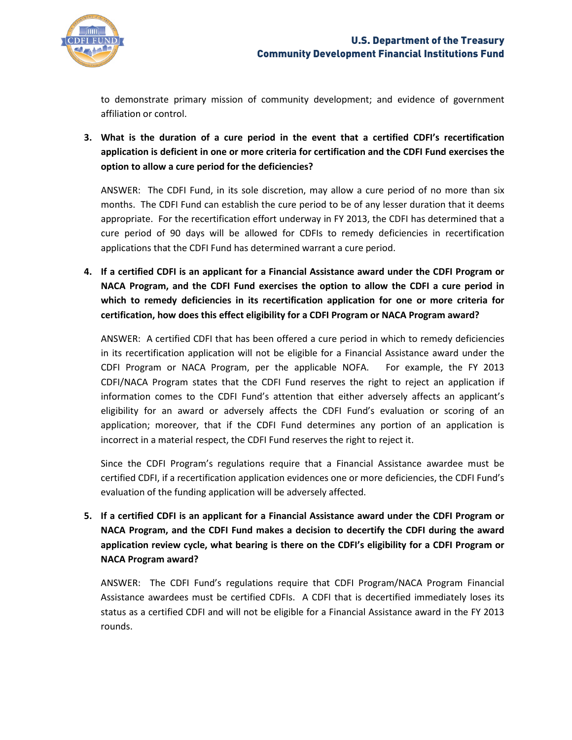

to demonstrate primary mission of community development; and evidence of government affiliation or control.

**3. What is the duration of a cure period in the event that a certified CDFI's recertification application is deficient in one or more criteria for certification and the CDFI Fund exercises the option to allow a cure period for the deficiencies?**

ANSWER: The CDFI Fund, in its sole discretion, may allow a cure period of no more than six months. The CDFI Fund can establish the cure period to be of any lesser duration that it deems appropriate. For the recertification effort underway in FY 2013, the CDFI has determined that a cure period of 90 days will be allowed for CDFIs to remedy deficiencies in recertification applications that the CDFI Fund has determined warrant a cure period.

**4. If a certified CDFI is an applicant for a Financial Assistance award under the CDFI Program or NACA Program, and the CDFI Fund exercises the option to allow the CDFI a cure period in which to remedy deficiencies in its recertification application for one or more criteria for certification, how does this effect eligibility for a CDFI Program or NACA Program award?**

ANSWER: A certified CDFI that has been offered a cure period in which to remedy deficiencies in its recertification application will not be eligible for a Financial Assistance award under the CDFI Program or NACA Program, per the applicable NOFA. For example, the FY 2013 CDFI/NACA Program states that the CDFI Fund reserves the right to reject an application if information comes to the CDFI Fund's attention that either adversely affects an applicant's eligibility for an award or adversely affects the CDFI Fund's evaluation or scoring of an application; moreover, that if the CDFI Fund determines any portion of an application is incorrect in a material respect, the CDFI Fund reserves the right to reject it.

Since the CDFI Program's regulations require that a Financial Assistance awardee must be certified CDFI, if a recertification application evidences one or more deficiencies, the CDFI Fund's evaluation of the funding application will be adversely affected.

**5. If a certified CDFI is an applicant for a Financial Assistance award under the CDFI Program or NACA Program, and the CDFI Fund makes a decision to decertify the CDFI during the award application review cycle, what bearing is there on the CDFI's eligibility for a CDFI Program or NACA Program award?**

ANSWER: The CDFI Fund's regulations require that CDFI Program/NACA Program Financial Assistance awardees must be certified CDFIs. A CDFI that is decertified immediately loses its status as a certified CDFI and will not be eligible for a Financial Assistance award in the FY 2013 rounds.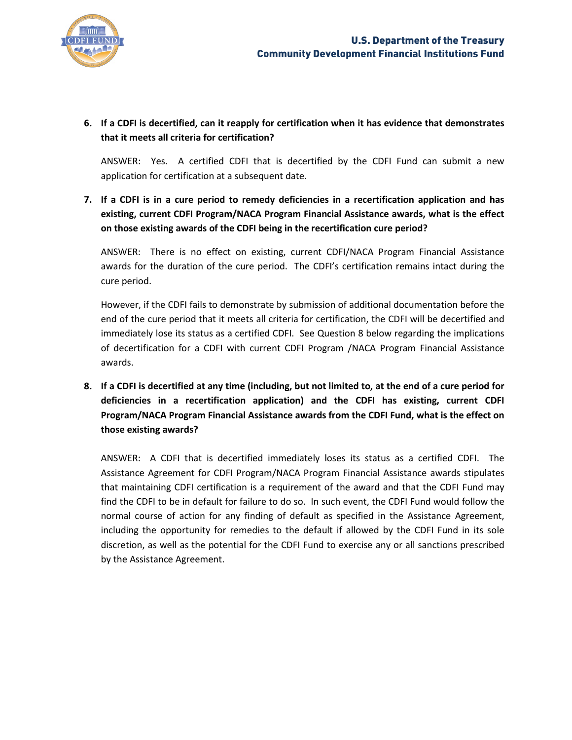

## **6. If a CDFI is decertified, can it reapply for certification when it has evidence that demonstrates that it meets all criteria for certification?**

ANSWER: Yes. A certified CDFI that is decertified by the CDFI Fund can submit a new application for certification at a subsequent date.

**7. If a CDFI is in a cure period to remedy deficiencies in a recertification application and has existing, current CDFI Program/NACA Program Financial Assistance awards, what is the effect on those existing awards of the CDFI being in the recertification cure period?**

ANSWER: There is no effect on existing, current CDFI/NACA Program Financial Assistance awards for the duration of the cure period. The CDFI's certification remains intact during the cure period.

However, if the CDFI fails to demonstrate by submission of additional documentation before the end of the cure period that it meets all criteria for certification, the CDFI will be decertified and immediately lose its status as a certified CDFI. See Question 8 below regarding the implications of decertification for a CDFI with current CDFI Program /NACA Program Financial Assistance awards.

**8. If a CDFI is decertified at any time (including, but not limited to, at the end of a cure period for deficiencies in a recertification application) and the CDFI has existing, current CDFI Program/NACA Program Financial Assistance awards from the CDFI Fund, what is the effect on those existing awards?**

ANSWER: A CDFI that is decertified immediately loses its status as a certified CDFI. The Assistance Agreement for CDFI Program/NACA Program Financial Assistance awards stipulates that maintaining CDFI certification is a requirement of the award and that the CDFI Fund may find the CDFI to be in default for failure to do so. In such event, the CDFI Fund would follow the normal course of action for any finding of default as specified in the Assistance Agreement, including the opportunity for remedies to the default if allowed by the CDFI Fund in its sole discretion, as well as the potential for the CDFI Fund to exercise any or all sanctions prescribed by the Assistance Agreement.